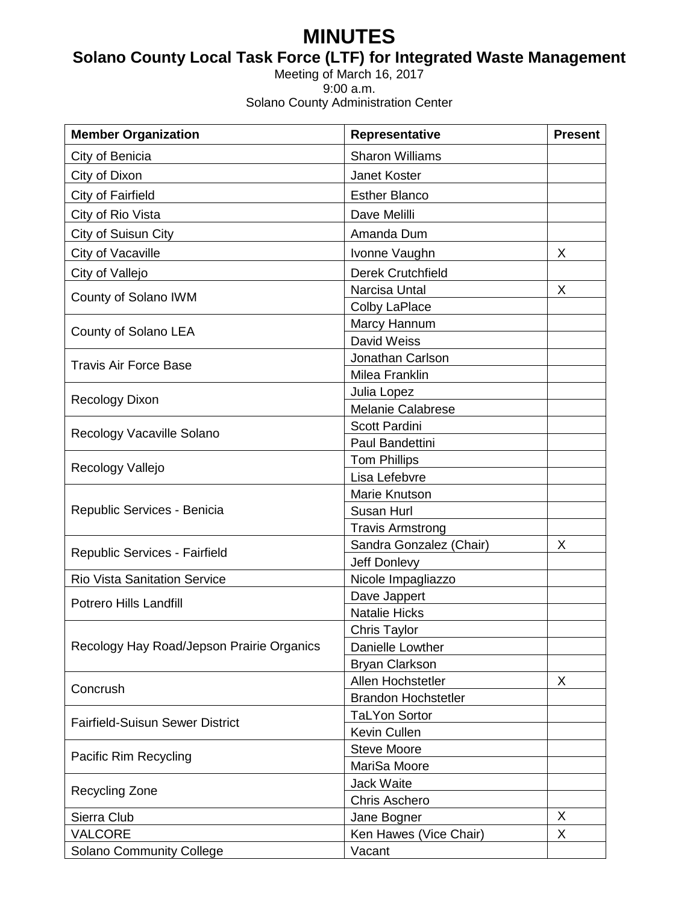# **MINUTES**

# **Solano County Local Task Force (LTF) for Integrated Waste Management**

Meeting of March 16, 2017 9:00 a.m. Solano County Administration Center

| <b>Member Organization</b>                | Representative             | <b>Present</b> |
|-------------------------------------------|----------------------------|----------------|
| City of Benicia                           | <b>Sharon Williams</b>     |                |
| City of Dixon                             | Janet Koster               |                |
| City of Fairfield                         | <b>Esther Blanco</b>       |                |
| City of Rio Vista                         | Dave Melilli               |                |
| City of Suisun City                       | Amanda Dum                 |                |
| City of Vacaville                         | Ivonne Vaughn              | X              |
| City of Vallejo                           | <b>Derek Crutchfield</b>   |                |
| County of Solano IWM                      | Narcisa Untal              | X              |
|                                           | Colby LaPlace              |                |
| County of Solano LEA                      | Marcy Hannum               |                |
|                                           | David Weiss                |                |
| <b>Travis Air Force Base</b>              | Jonathan Carlson           |                |
|                                           | Milea Franklin             |                |
| <b>Recology Dixon</b>                     | Julia Lopez                |                |
|                                           | <b>Melanie Calabrese</b>   |                |
| Recology Vacaville Solano                 | Scott Pardini              |                |
|                                           | Paul Bandettini            |                |
| Recology Vallejo                          | <b>Tom Phillips</b>        |                |
|                                           | Lisa Lefebvre              |                |
| Republic Services - Benicia               | Marie Knutson              |                |
|                                           | Susan Hurl                 |                |
|                                           | <b>Travis Armstrong</b>    |                |
| Republic Services - Fairfield             | Sandra Gonzalez (Chair)    | X              |
|                                           | Jeff Donlevy               |                |
| <b>Rio Vista Sanitation Service</b>       | Nicole Impagliazzo         |                |
| <b>Potrero Hills Landfill</b>             | Dave Jappert               |                |
|                                           | <b>Natalie Hicks</b>       |                |
| Recology Hay Road/Jepson Prairie Organics | <b>Chris Taylor</b>        |                |
|                                           | Danielle Lowther           |                |
|                                           | <b>Bryan Clarkson</b>      |                |
| Concrush                                  | Allen Hochstetler          | X              |
|                                           | <b>Brandon Hochstetler</b> |                |
| <b>Fairfield-Suisun Sewer District</b>    | <b>TaLYon Sortor</b>       |                |
|                                           | Kevin Cullen               |                |
| Pacific Rim Recycling                     | <b>Steve Moore</b>         |                |
|                                           | MariSa Moore               |                |
| <b>Recycling Zone</b>                     | <b>Jack Waite</b>          |                |
|                                           | <b>Chris Aschero</b>       |                |
| Sierra Club                               | Jane Bogner                | X              |
| <b>VALCORE</b>                            | Ken Hawes (Vice Chair)     | X              |
| Solano Community College                  | Vacant                     |                |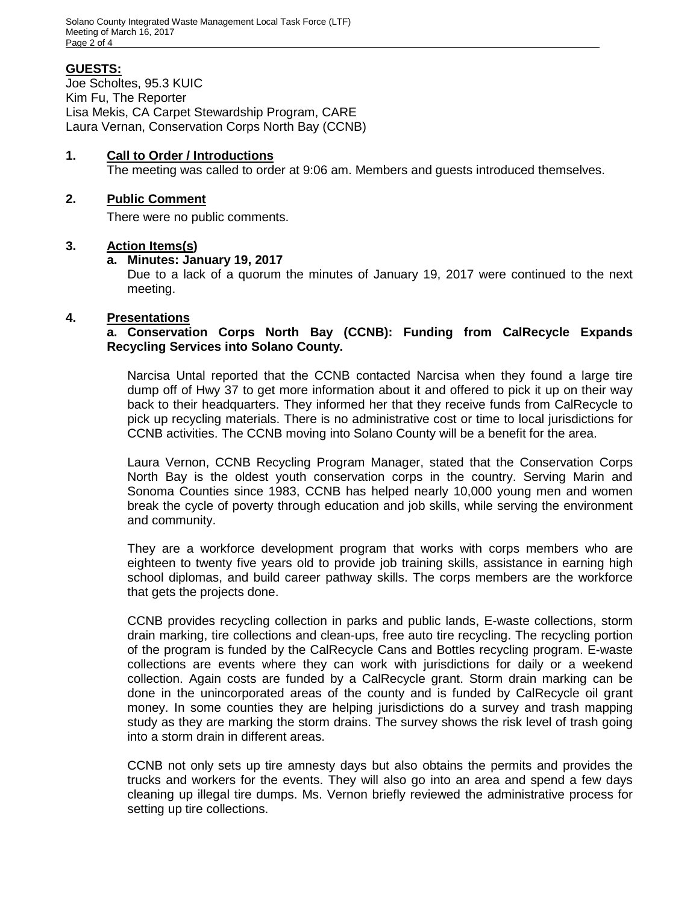# **GUESTS:**

Joe Scholtes, 95.3 KUIC Kim Fu, The Reporter Lisa Mekis, CA Carpet Stewardship Program, CARE Laura Vernan, Conservation Corps North Bay (CCNB)

# **1. Call to Order / Introductions**

The meeting was called to order at 9:06 am. Members and guests introduced themselves.

#### **2. Public Comment**

There were no public comments.

# **3. Action Items(s)**

# **a. Minutes: January 19, 2017**

Due to a lack of a quorum the minutes of January 19, 2017 were continued to the next meeting.

# **4. Presentations**

**a. Conservation Corps North Bay (CCNB): Funding from CalRecycle Expands Recycling Services into Solano County.**

Narcisa Untal reported that the CCNB contacted Narcisa when they found a large tire dump off of Hwy 37 to get more information about it and offered to pick it up on their way back to their headquarters. They informed her that they receive funds from CalRecycle to pick up recycling materials. There is no administrative cost or time to local jurisdictions for CCNB activities. The CCNB moving into Solano County will be a benefit for the area.

Laura Vernon, CCNB Recycling Program Manager, stated that the Conservation Corps North Bay is the oldest youth conservation corps in the country. Serving Marin and Sonoma Counties since 1983, CCNB has helped nearly 10,000 young men and women break the cycle of poverty through education and job skills, while serving the environment and community.

They are a workforce development program that works with corps members who are eighteen to twenty five years old to provide job training skills, assistance in earning high school diplomas, and build career pathway skills. The corps members are the workforce that gets the projects done.

CCNB provides recycling collection in parks and public lands, E-waste collections, storm drain marking, tire collections and clean-ups, free auto tire recycling. The recycling portion of the program is funded by the CalRecycle Cans and Bottles recycling program. E-waste collections are events where they can work with jurisdictions for daily or a weekend collection. Again costs are funded by a CalRecycle grant. Storm drain marking can be done in the unincorporated areas of the county and is funded by CalRecycle oil grant money. In some counties they are helping jurisdictions do a survey and trash mapping study as they are marking the storm drains. The survey shows the risk level of trash going into a storm drain in different areas.

CCNB not only sets up tire amnesty days but also obtains the permits and provides the trucks and workers for the events. They will also go into an area and spend a few days cleaning up illegal tire dumps. Ms. Vernon briefly reviewed the administrative process for setting up tire collections.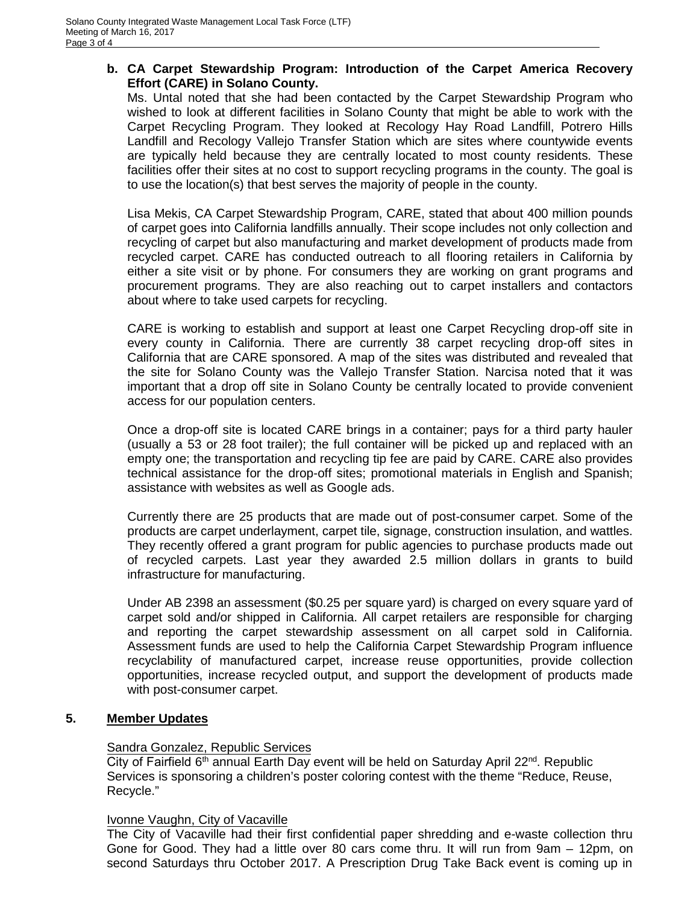# **b. CA Carpet Stewardship Program: Introduction of the Carpet America Recovery Effort (CARE) in Solano County.**

Ms. Untal noted that she had been contacted by the Carpet Stewardship Program who wished to look at different facilities in Solano County that might be able to work with the Carpet Recycling Program. They looked at Recology Hay Road Landfill, Potrero Hills Landfill and Recology Vallejo Transfer Station which are sites where countywide events are typically held because they are centrally located to most county residents. These facilities offer their sites at no cost to support recycling programs in the county. The goal is to use the location(s) that best serves the majority of people in the county.

Lisa Mekis, CA Carpet Stewardship Program, CARE, stated that about 400 million pounds of carpet goes into California landfills annually. Their scope includes not only collection and recycling of carpet but also manufacturing and market development of products made from recycled carpet. CARE has conducted outreach to all flooring retailers in California by either a site visit or by phone. For consumers they are working on grant programs and procurement programs. They are also reaching out to carpet installers and contactors about where to take used carpets for recycling.

CARE is working to establish and support at least one Carpet Recycling drop-off site in every county in California. There are currently 38 carpet recycling drop-off sites in California that are CARE sponsored. A map of the sites was distributed and revealed that the site for Solano County was the Vallejo Transfer Station. Narcisa noted that it was important that a drop off site in Solano County be centrally located to provide convenient access for our population centers.

Once a drop-off site is located CARE brings in a container; pays for a third party hauler (usually a 53 or 28 foot trailer); the full container will be picked up and replaced with an empty one; the transportation and recycling tip fee are paid by CARE. CARE also provides technical assistance for the drop-off sites; promotional materials in English and Spanish; assistance with websites as well as Google ads.

Currently there are 25 products that are made out of post-consumer carpet. Some of the products are carpet underlayment, carpet tile, signage, construction insulation, and wattles. They recently offered a grant program for public agencies to purchase products made out of recycled carpets. Last year they awarded 2.5 million dollars in grants to build infrastructure for manufacturing.

Under AB 2398 an assessment (\$0.25 per square yard) is charged on every square yard of carpet sold and/or shipped in California. All carpet retailers are responsible for charging and reporting the carpet stewardship assessment on all carpet sold in California. Assessment funds are used to help the California Carpet Stewardship Program influence recyclability of manufactured carpet, increase reuse opportunities, provide collection opportunities, increase recycled output, and support the development of products made with post-consumer carpet.

# **5. Member Updates**

#### Sandra Gonzalez, Republic Services

City of Fairfield 6<sup>th</sup> annual Earth Day event will be held on Saturday April 22<sup>nd</sup>. Republic Services is sponsoring a children's poster coloring contest with the theme "Reduce, Reuse, Recycle."

#### Ivonne Vaughn, City of Vacaville

The City of Vacaville had their first confidential paper shredding and e-waste collection thru Gone for Good. They had a little over 80 cars come thru. It will run from 9am – 12pm, on second Saturdays thru October 2017. A Prescription Drug Take Back event is coming up in